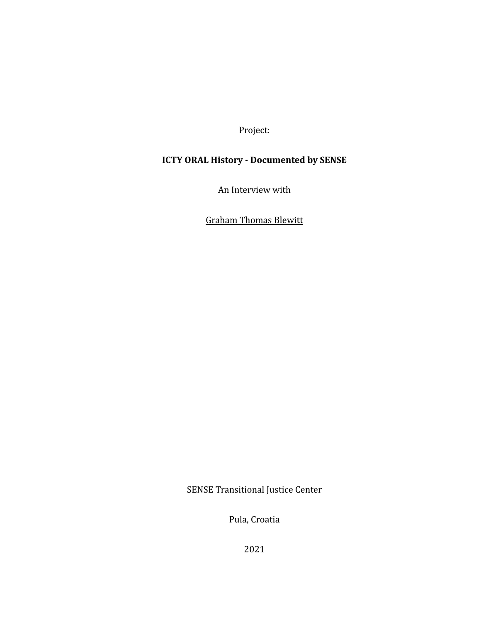Project:

# **ICTY ORAL History - Documented by SENSE**

An Interview with

Graham Thomas Blewitt

SENSE Transitional Justice Center

Pula, Croatia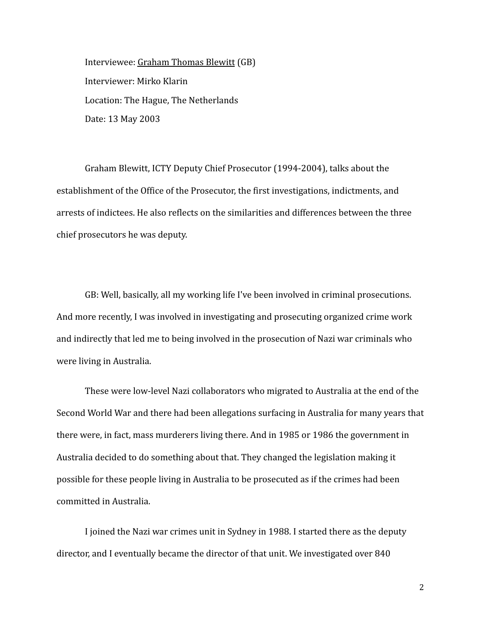Interviewee: Graham Thomas Blewitt (GB) Interviewer: Mirko Klarin Location: The Hague, The Netherlands Date: 13 May 2003

Graham Blewitt, ICTY Deputy Chief Prosecutor (1994-2004), talks about the establishment of the Office of the Prosecutor, the first investigations, indictments, and arrests of indictees. He also reflects on the similarities and differences between the three chief prosecutors he was deputy.

GB: Well, basically, all my working life I've been involved in criminal prosecutions. And more recently, I was involved in investigating and prosecuting organized crime work and indirectly that led me to being involved in the prosecution of Nazi war criminals who were living in Australia.

These were low-level Nazi collaborators who migrated to Australia at the end of the Second World War and there had been allegations surfacing in Australia for many years that there were, in fact, mass murderers living there. And in 1985 or 1986 the government in Australia decided to do something about that. They changed the legislation making it possible for these people living in Australia to be prosecuted as if the crimes had been committed in Australia.

I joined the Nazi war crimes unit in Sydney in 1988. I started there as the deputy director, and I eventually became the director of that unit. We investigated over 840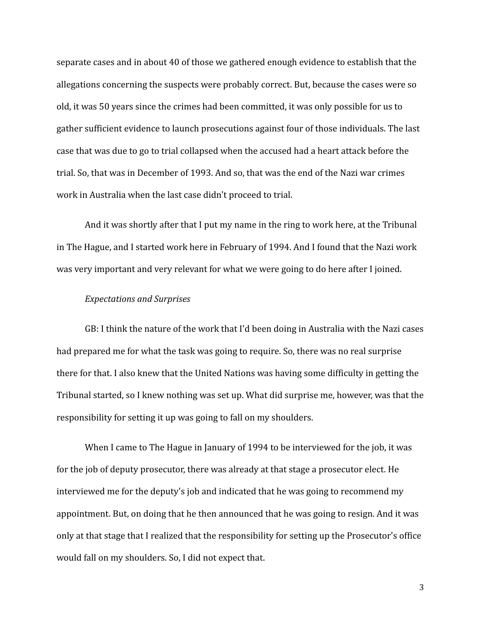separate cases and in about 40 of those we gathered enough evidence to establish that the allegations concerning the suspects were probably correct. But, because the cases were so old, it was 50 years since the crimes had been committed, it was only possible for us to gather sufficient evidence to launch prosecutions against four of those individuals. The last case that was due to go to trial collapsed when the accused had a heart attack before the trial. So, that was in December of 1993. And so, that was the end of the Nazi war crimes work in Australia when the last case didn't proceed to trial.

And it was shortly after that I put my name in the ring to work here, at the Tribunal in The Hague, and I started work here in February of 1994. And I found that the Nazi work was very important and very relevant for what we were going to do here after I joined.

# *Expectations and Surprises*

GB: I think the nature of the work that I'd been doing in Australia with the Nazi cases had prepared me for what the task was going to require. So, there was no real surprise there for that. I also knew that the United Nations was having some difficulty in getting the Tribunal started, so I knew nothing was set up. What did surprise me, however, was that the responsibility for setting it up was going to fall on my shoulders.

When I came to The Hague in January of 1994 to be interviewed for the job, it was for the job of deputy prosecutor, there was already at that stage a prosecutor elect. He interviewed me for the deputy's job and indicated that he was going to recommend my appointment. But, on doing that he then announced that he was going to resign. And it was only at that stage that I realized that the responsibility for setting up the Prosecutor's office would fall on my shoulders. So, I did not expect that.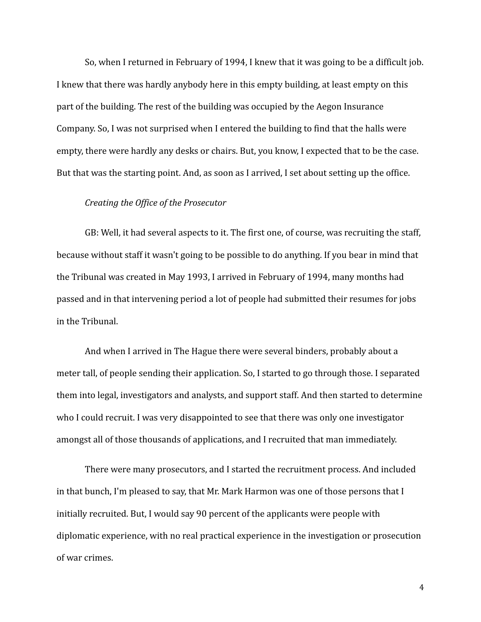So, when I returned in February of 1994, I knew that it was going to be a difficult job. I knew that there was hardly anybody here in this empty building, at least empty on this part of the building. The rest of the building was occupied by the Aegon Insurance Company. So, I was not surprised when I entered the building to find that the halls were empty, there were hardly any desks or chairs. But, you know, I expected that to be the case. But that was the starting point. And, as soon as I arrived, I set about setting up the office.

## *Creating the Office of the Prosecutor*

GB: Well, it had several aspects to it. The first one, of course, was recruiting the staff, because without staff it wasn't going to be possible to do anything. If you bear in mind that the Tribunal was created in May 1993, I arrived in February of 1994, many months had passed and in that intervening period a lot of people had submitted their resumes for jobs in the Tribunal.

And when I arrived in The Hague there were several binders, probably about a meter tall, of people sending their application. So, I started to go through those. I separated them into legal, investigators and analysts, and support staff. And then started to determine who I could recruit. I was very disappointed to see that there was only one investigator amongst all of those thousands of applications, and I recruited that man immediately.

There were many prosecutors, and I started the recruitment process. And included in that bunch, I'm pleased to say, that Mr. Mark Harmon was one of those persons that I initially recruited. But, I would say 90 percent of the applicants were people with diplomatic experience, with no real practical experience in the investigation or prosecution of war crimes.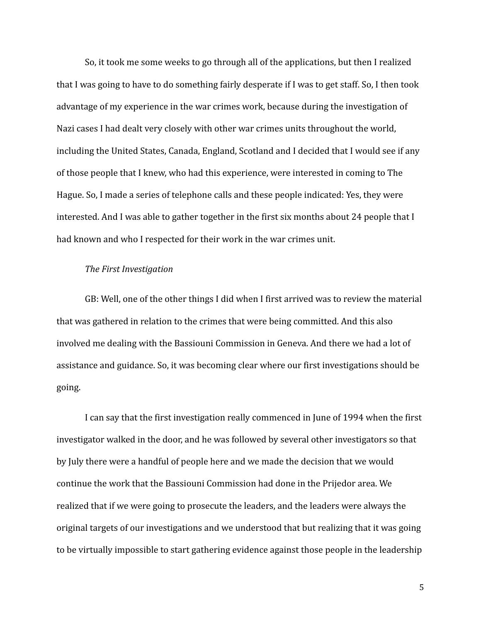So, it took me some weeks to go through all of the applications, but then I realized that I was going to have to do something fairly desperate if I was to get staff. So, I then took advantage of my experience in the war crimes work, because during the investigation of Nazi cases I had dealt very closely with other war crimes units throughout the world, including the United States, Canada, England, Scotland and I decided that I would see if any of those people that I knew, who had this experience, were interested in coming to The Hague. So, I made a series of telephone calls and these people indicated: Yes, they were interested. And I was able to gather together in the first six months about 24 people that I had known and who I respected for their work in the war crimes unit.

## *The First Investigation*

GB: Well, one of the other things I did when I first arrived was to review the material that was gathered in relation to the crimes that were being committed. And this also involved me dealing with the Bassiouni Commission in Geneva. And there we had a lot of assistance and guidance. So, it was becoming clear where our first investigations should be going.

I can say that the first investigation really commenced in June of 1994 when the first investigator walked in the door, and he was followed by several other investigators so that by July there were a handful of people here and we made the decision that we would continue the work that the Bassiouni Commission had done in the Prijedor area. We realized that if we were going to prosecute the leaders, and the leaders were always the original targets of our investigations and we understood that but realizing that it was going to be virtually impossible to start gathering evidence against those people in the leadership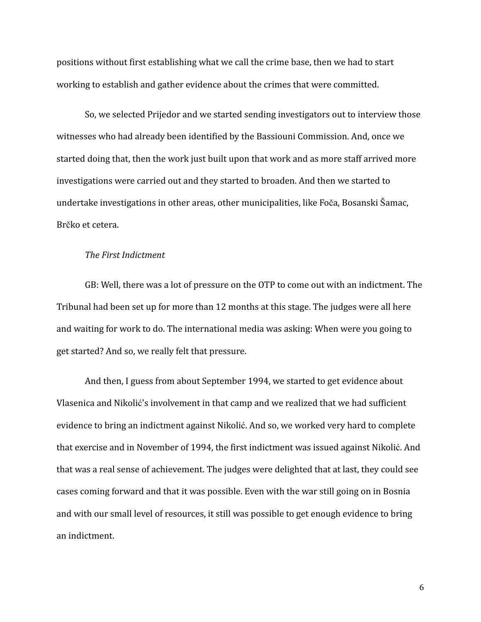positions without first establishing what we call the crime base, then we had to start working to establish and gather evidence about the crimes that were committed.

So, we selected Prijedor and we started sending investigators out to interview those witnesses who had already been identified by the Bassiouni Commission. And, once we started doing that, then the work just built upon that work and as more staff arrived more investigations were carried out and they started to broaden. And then we started to undertake investigations in other areas, other municipalities, like Foča, Bosanski Šamac, Brčko et cetera.

## *The First Indictment*

GB: Well, there was a lot of pressure on the OTP to come out with an indictment. The Tribunal had been set up for more than 12 months at this stage. The judges were all here and waiting for work to do. The international media was asking: When were you going to get started? And so, we really felt that pressure.

And then, I guess from about September 1994, we started to get evidence about Vlasenica and Nikolić's involvement in that camp and we realized that we had sufficient evidence to bring an indictment against Nikolić. And so, we worked very hard to complete that exercise and in November of 1994, the first indictment was issued against Nikolić. And that was a real sense of achievement. The judges were delighted that at last, they could see cases coming forward and that it was possible. Even with the war still going on in Bosnia and with our small level of resources, it still was possible to get enough evidence to bring an indictment.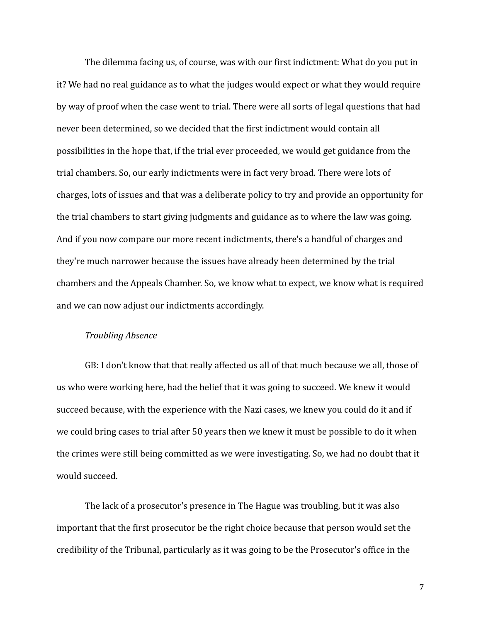The dilemma facing us, of course, was with our first indictment: What do you put in it? We had no real guidance as to what the judges would expect or what they would require by way of proof when the case went to trial. There were all sorts of legal questions that had never been determined, so we decided that the first indictment would contain all possibilities in the hope that, if the trial ever proceeded, we would get guidance from the trial chambers. So, our early indictments were in fact very broad. There were lots of charges, lots of issues and that was a deliberate policy to try and provide an opportunity for the trial chambers to start giving judgments and guidance as to where the law was going. And if you now compare our more recent indictments, there's a handful of charges and they're much narrower because the issues have already been determined by the trial chambers and the Appeals Chamber. So, we know what to expect, we know what is required and we can now adjust our indictments accordingly.

#### *Troubling Absence*

GB: I don't know that that really affected us all of that much because we all, those of us who were working here, had the belief that it was going to succeed. We knew it would succeed because, with the experience with the Nazi cases, we knew you could do it and if we could bring cases to trial after 50 years then we knew it must be possible to do it when the crimes were still being committed as we were investigating. So, we had no doubt that it would succeed.

The lack of a prosecutor's presence in The Hague was troubling, but it was also important that the first prosecutor be the right choice because that person would set the credibility of the Tribunal, particularly as it was going to be the Prosecutor's office in the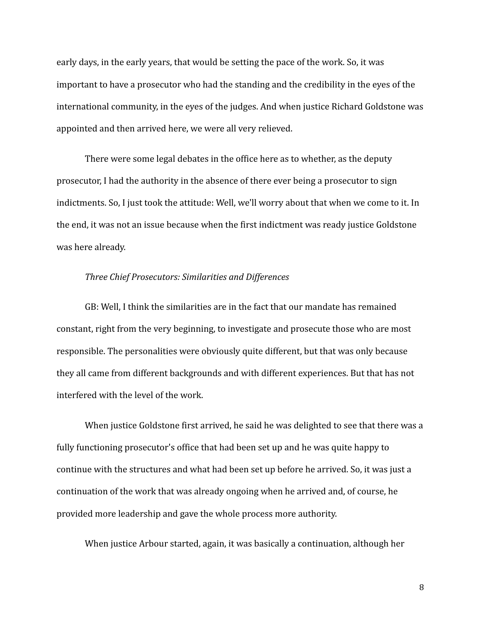early days, in the early years, that would be setting the pace of the work. So, it was important to have a prosecutor who had the standing and the credibility in the eyes of the international community, in the eyes of the judges. And when justice Richard Goldstone was appointed and then arrived here, we were all very relieved.

There were some legal debates in the office here as to whether, as the deputy prosecutor, I had the authority in the absence of there ever being a prosecutor to sign indictments. So, I just took the attitude: Well, we'll worry about that when we come to it. In the end, it was not an issue because when the first indictment was ready justice Goldstone was here already.

## *Three Chief Prosecutors: Similarities and Differences*

GB: Well, I think the similarities are in the fact that our mandate has remained constant, right from the very beginning, to investigate and prosecute those who are most responsible. The personalities were obviously quite different, but that was only because they all came from different backgrounds and with different experiences. But that has not interfered with the level of the work.

When justice Goldstone first arrived, he said he was delighted to see that there was a fully functioning prosecutor's office that had been set up and he was quite happy to continue with the structures and what had been set up before he arrived. So, it was just a continuation of the work that was already ongoing when he arrived and, of course, he provided more leadership and gave the whole process more authority.

When justice Arbour started, again, it was basically a continuation, although her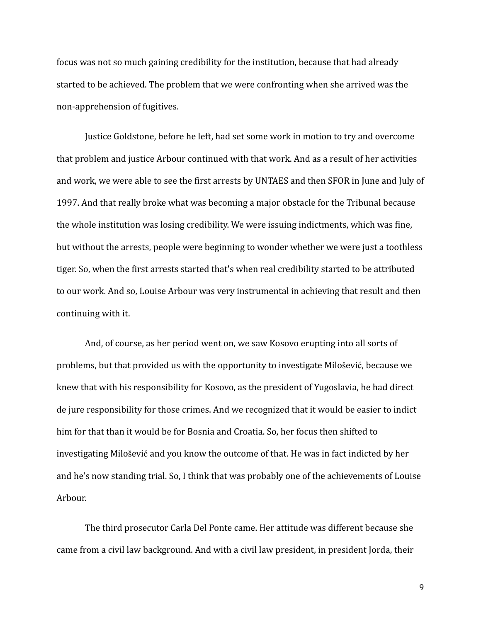focus was not so much gaining credibility for the institution, because that had already started to be achieved. The problem that we were confronting when she arrived was the non-apprehension of fugitives.

Justice Goldstone, before he left, had set some work in motion to try and overcome that problem and justice Arbour continued with that work. And as a result of her activities and work, we were able to see the first arrests by UNTAES and then SFOR in June and July of 1997. And that really broke what was becoming a major obstacle for the Tribunal because the whole institution was losing credibility. We were issuing indictments, which was fine, but without the arrests, people were beginning to wonder whether we were just a toothless tiger. So, when the first arrests started that's when real credibility started to be attributed to our work. And so, Louise Arbour was very instrumental in achieving that result and then continuing with it.

And, of course, as her period went on, we saw Kosovo erupting into all sorts of problems, but that provided us with the opportunity to investigate Milošević, because we knew that with his responsibility for Kosovo, as the president of Yugoslavia, he had direct de jure responsibility for those crimes. And we recognized that it would be easier to indict him for that than it would be for Bosnia and Croatia. So, her focus then shifted to investigating Milošević and you know the outcome of that. He was in fact indicted by her and he's now standing trial. So, I think that was probably one of the achievements of Louise Arbour.

The third prosecutor Carla Del Ponte came. Her attitude was different because she came from a civil law background. And with a civil law president, in president Jorda, their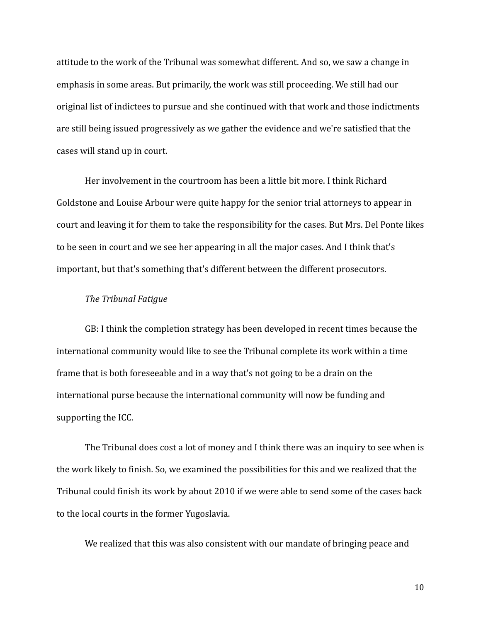attitude to the work of the Tribunal was somewhat different. And so, we saw a change in emphasis in some areas. But primarily, the work was still proceeding. We still had our original list of indictees to pursue and she continued with that work and those indictments are still being issued progressively as we gather the evidence and we're satisfied that the cases will stand up in court.

Her involvement in the courtroom has been a little bit more. I think Richard Goldstone and Louise Arbour were quite happy for the senior trial attorneys to appear in court and leaving it for them to take the responsibility for the cases. But Mrs. Del Ponte likes to be seen in court and we see her appearing in all the major cases. And I think that's important, but that's something that's different between the different prosecutors.

## *The Tribunal Fatigue*

GB: I think the completion strategy has been developed in recent times because the international community would like to see the Tribunal complete its work within a time frame that is both foreseeable and in a way that's not going to be a drain on the international purse because the international community will now be funding and supporting the ICC.

The Tribunal does cost a lot of money and I think there was an inquiry to see when is the work likely to finish. So, we examined the possibilities for this and we realized that the Tribunal could finish its work by about 2010 if we were able to send some of the cases back to the local courts in the former Yugoslavia.

We realized that this was also consistent with our mandate of bringing peace and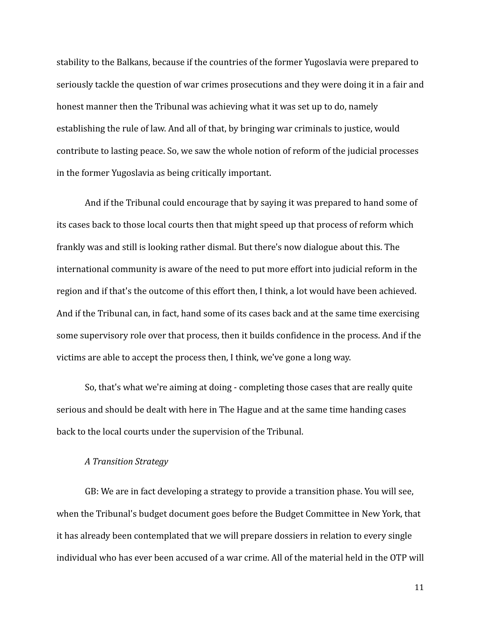stability to the Balkans, because if the countries of the former Yugoslavia were prepared to seriously tackle the question of war crimes prosecutions and they were doing it in a fair and honest manner then the Tribunal was achieving what it was set up to do, namely establishing the rule of law. And all of that, by bringing war criminals to justice, would contribute to lasting peace. So, we saw the whole notion of reform of the judicial processes in the former Yugoslavia as being critically important.

And if the Tribunal could encourage that by saying it was prepared to hand some of its cases back to those local courts then that might speed up that process of reform which frankly was and still is looking rather dismal. But there's now dialogue about this. The international community is aware of the need to put more effort into judicial reform in the region and if that's the outcome of this effort then, I think, a lot would have been achieved. And if the Tribunal can, in fact, hand some of its cases back and at the same time exercising some supervisory role over that process, then it builds confidence in the process. And if the victims are able to accept the process then, I think, we've gone a long way.

So, that's what we're aiming at doing - completing those cases that are really quite serious and should be dealt with here in The Hague and at the same time handing cases back to the local courts under the supervision of the Tribunal.

### *A Transition Strategy*

GB: We are in fact developing a strategy to provide a transition phase. You will see, when the Tribunal's budget document goes before the Budget Committee in New York, that it has already been contemplated that we will prepare dossiers in relation to every single individual who has ever been accused of a war crime. All of the material held in the OTP will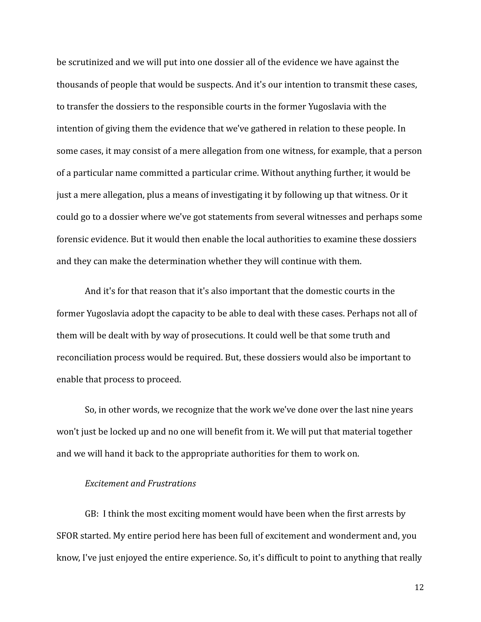be scrutinized and we will put into one dossier all of the evidence we have against the thousands of people that would be suspects. And it's our intention to transmit these cases, to transfer the dossiers to the responsible courts in the former Yugoslavia with the intention of giving them the evidence that we've gathered in relation to these people. In some cases, it may consist of a mere allegation from one witness, for example, that a person of a particular name committed a particular crime. Without anything further, it would be just a mere allegation, plus a means of investigating it by following up that witness. Or it could go to a dossier where we've got statements from several witnesses and perhaps some forensic evidence. But it would then enable the local authorities to examine these dossiers and they can make the determination whether they will continue with them.

And it's for that reason that it's also important that the domestic courts in the former Yugoslavia adopt the capacity to be able to deal with these cases. Perhaps not all of them will be dealt with by way of prosecutions. It could well be that some truth and reconciliation process would be required. But, these dossiers would also be important to enable that process to proceed.

So, in other words, we recognize that the work we've done over the last nine years won't just be locked up and no one will benefit from it. We will put that material together and we will hand it back to the appropriate authorities for them to work on.

### *Excitement and Frustrations*

GB: I think the most exciting moment would have been when the first arrests by SFOR started. My entire period here has been full of excitement and wonderment and, you know, I've just enjoyed the entire experience. So, it's difficult to point to anything that really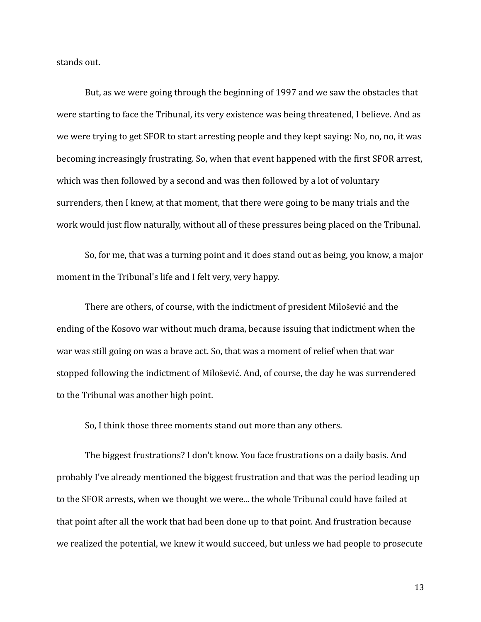stands out.

But, as we were going through the beginning of 1997 and we saw the obstacles that were starting to face the Tribunal, its very existence was being threatened, I believe. And as we were trying to get SFOR to start arresting people and they kept saying: No, no, no, it was becoming increasingly frustrating. So, when that event happened with the first SFOR arrest, which was then followed by a second and was then followed by a lot of voluntary surrenders, then I knew, at that moment, that there were going to be many trials and the work would just flow naturally, without all of these pressures being placed on the Tribunal.

So, for me, that was a turning point and it does stand out as being, you know, a major moment in the Tribunal's life and I felt very, very happy.

There are others, of course, with the indictment of president Milošević and the ending of the Kosovo war without much drama, because issuing that indictment when the war was still going on was a brave act. So, that was a moment of relief when that war stopped following the indictment of Milošević. And, of course, the day he was surrendered to the Tribunal was another high point.

So, I think those three moments stand out more than any others.

The biggest frustrations? I don't know. You face frustrations on a daily basis. And probably I've already mentioned the biggest frustration and that was the period leading up to the SFOR arrests, when we thought we were... the whole Tribunal could have failed at that point after all the work that had been done up to that point. And frustration because we realized the potential, we knew it would succeed, but unless we had people to prosecute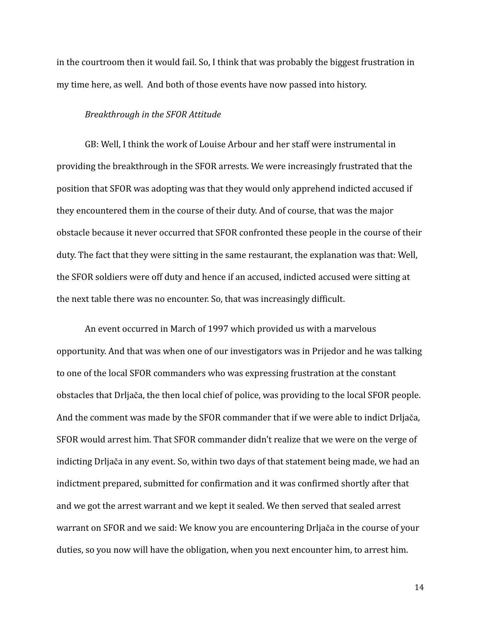in the courtroom then it would fail. So, I think that was probably the biggest frustration in my time here, as well. And both of those events have now passed into history.

#### *Breakthrough in the SFOR Attitude*

GB: Well, I think the work of Louise Arbour and her staff were instrumental in providing the breakthrough in the SFOR arrests. We were increasingly frustrated that the position that SFOR was adopting was that they would only apprehend indicted accused if they encountered them in the course of their duty. And of course, that was the major obstacle because it never occurred that SFOR confronted these people in the course of their duty. The fact that they were sitting in the same restaurant, the explanation was that: Well, the SFOR soldiers were off duty and hence if an accused, indicted accused were sitting at the next table there was no encounter. So, that was increasingly difficult.

An event occurred in March of 1997 which provided us with a marvelous opportunity. And that was when one of our investigators was in Prijedor and he was talking to one of the local SFOR commanders who was expressing frustration at the constant obstacles that Drljača, the then local chief of police, was providing to the local SFOR people. And the comment was made by the SFOR commander that if we were able to indict Drljača, SFOR would arrest him. That SFOR commander didn't realize that we were on the verge of indicting Drljača in any event. So, within two days of that statement being made, we had an indictment prepared, submitted for confirmation and it was confirmed shortly after that and we got the arrest warrant and we kept it sealed. We then served that sealed arrest warrant on SFOR and we said: We know you are encountering Drljača in the course of your duties, so you now will have the obligation, when you next encounter him, to arrest him.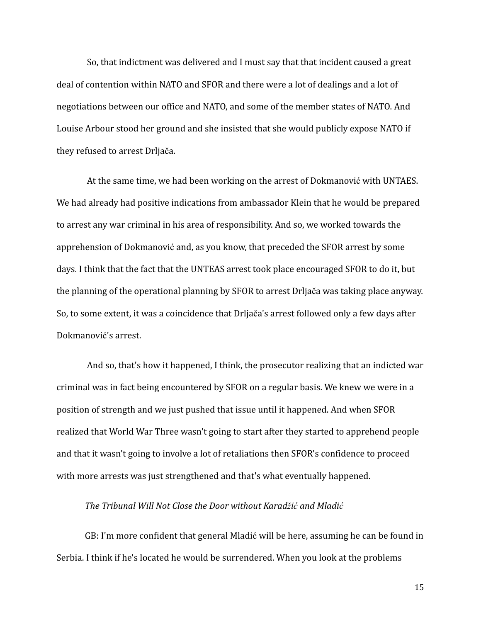So, that indictment was delivered and I must say that that incident caused a great deal of contention within NATO and SFOR and there were a lot of dealings and a lot of negotiations between our office and NATO, and some of the member states of NATO. And Louise Arbour stood her ground and she insisted that she would publicly expose NATO if they refused to arrest Drljača.

At the same time, we had been working on the arrest of Dokmanović with UNTAES. We had already had positive indications from ambassador Klein that he would be prepared to arrest any war criminal in his area of responsibility. And so, we worked towards the apprehension of Dokmanović and, as you know, that preceded the SFOR arrest by some days. I think that the fact that the UNTEAS arrest took place encouraged SFOR to do it, but the planning of the operational planning by SFOR to arrest Drljača was taking place anyway. So, to some extent, it was a coincidence that Drljača's arrest followed only a few days after Dokmanović's arrest.

And so, that's how it happened, I think, the prosecutor realizing that an indicted war criminal was in fact being encountered by SFOR on a regular basis. We knew we were in a position of strength and we just pushed that issue until it happened. And when SFOR realized that World War Three wasn't going to start after they started to apprehend people and that it wasn't going to involve a lot of retaliations then SFOR's confidence to proceed with more arrests was just strengthened and that's what eventually happened.

## *The Tribunal Will Not Close the Door without Karadžić and Mladić*

GB: I'm more confident that general Mladić will be here, assuming he can be found in Serbia. I think if he's located he would be surrendered. When you look at the problems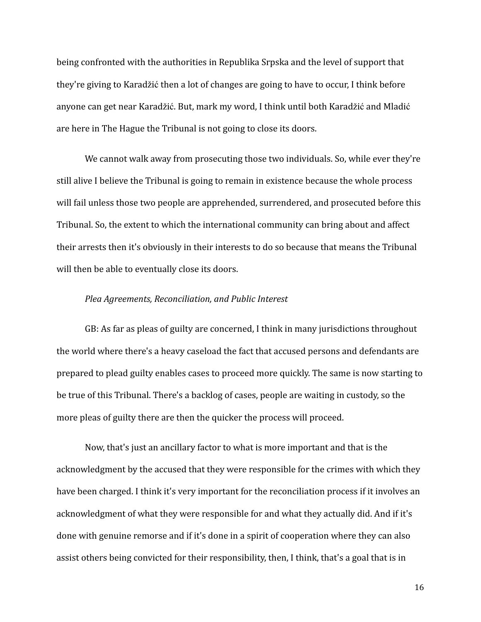being confronted with the authorities in Republika Srpska and the level of support that they're giving to Karadžić then a lot of changes are going to have to occur, I think before anyone can get near Karadžić. But, mark my word, I think until both Karadžić and Mladić are here in The Hague the Tribunal is not going to close its doors.

We cannot walk away from prosecuting those two individuals. So, while ever they're still alive I believe the Tribunal is going to remain in existence because the whole process will fail unless those two people are apprehended, surrendered, and prosecuted before this Tribunal. So, the extent to which the international community can bring about and affect their arrests then it's obviously in their interests to do so because that means the Tribunal will then be able to eventually close its doors.

## *Plea Agreements, Reconciliation, and Public Interest*

GB: As far as pleas of guilty are concerned, I think in many jurisdictions throughout the world where there's a heavy caseload the fact that accused persons and defendants are prepared to plead guilty enables cases to proceed more quickly. The same is now starting to be true of this Tribunal. There's a backlog of cases, people are waiting in custody, so the more pleas of guilty there are then the quicker the process will proceed.

Now, that's just an ancillary factor to what is more important and that is the acknowledgment by the accused that they were responsible for the crimes with which they have been charged. I think it's very important for the reconciliation process if it involves an acknowledgment of what they were responsible for and what they actually did. And if it's done with genuine remorse and if it's done in a spirit of cooperation where they can also assist others being convicted for their responsibility, then, I think, that's a goal that is in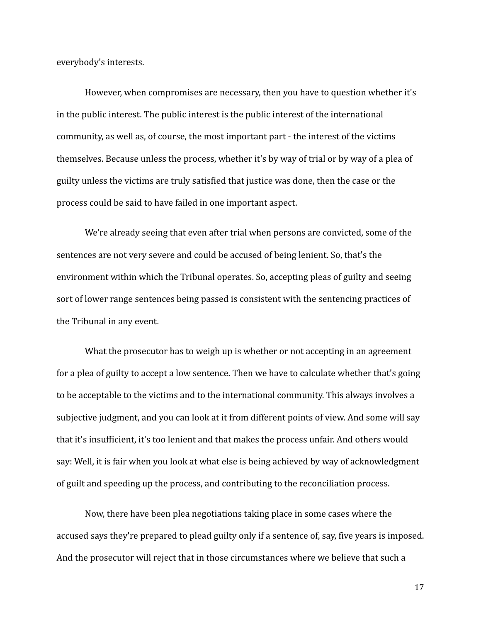everybody's interests.

However, when compromises are necessary, then you have to question whether it's in the public interest. The public interest is the public interest of the international community, as well as, of course, the most important part - the interest of the victims themselves. Because unless the process, whether it's by way of trial or by way of a plea of guilty unless the victims are truly satisfied that justice was done, then the case or the process could be said to have failed in one important aspect.

We're already seeing that even after trial when persons are convicted, some of the sentences are not very severe and could be accused of being lenient. So, that's the environment within which the Tribunal operates. So, accepting pleas of guilty and seeing sort of lower range sentences being passed is consistent with the sentencing practices of the Tribunal in any event.

What the prosecutor has to weigh up is whether or not accepting in an agreement for a plea of guilty to accept a low sentence. Then we have to calculate whether that's going to be acceptable to the victims and to the international community. This always involves a subjective judgment, and you can look at it from different points of view. And some will say that it's insufficient, it's too lenient and that makes the process unfair. And others would say: Well, it is fair when you look at what else is being achieved by way of acknowledgment of guilt and speeding up the process, and contributing to the reconciliation process.

Now, there have been plea negotiations taking place in some cases where the accused says they're prepared to plead guilty only if a sentence of, say, five years is imposed. And the prosecutor will reject that in those circumstances where we believe that such a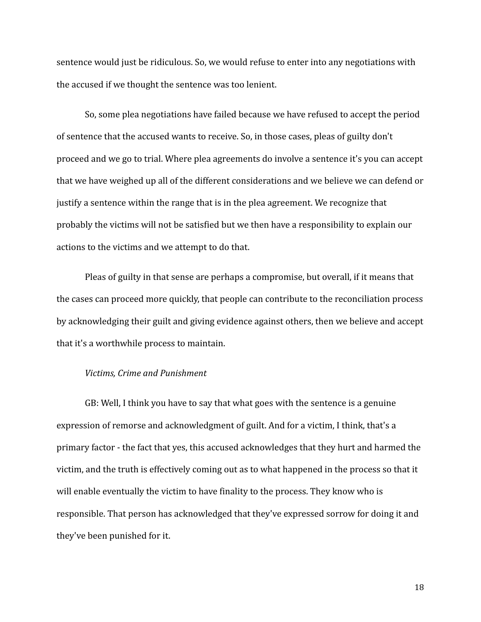sentence would just be ridiculous. So, we would refuse to enter into any negotiations with the accused if we thought the sentence was too lenient.

So, some plea negotiations have failed because we have refused to accept the period of sentence that the accused wants to receive. So, in those cases, pleas of guilty don't proceed and we go to trial. Where plea agreements do involve a sentence it's you can accept that we have weighed up all of the different considerations and we believe we can defend or justify a sentence within the range that is in the plea agreement. We recognize that probably the victims will not be satisfied but we then have a responsibility to explain our actions to the victims and we attempt to do that.

Pleas of guilty in that sense are perhaps a compromise, but overall, if it means that the cases can proceed more quickly, that people can contribute to the reconciliation process by acknowledging their guilt and giving evidence against others, then we believe and accept that it's a worthwhile process to maintain.

#### *Victims, Crime and Punishment*

GB: Well, I think you have to say that what goes with the sentence is a genuine expression of remorse and acknowledgment of guilt. And for a victim, I think, that's a primary factor - the fact that yes, this accused acknowledges that they hurt and harmed the victim, and the truth is effectively coming out as to what happened in the process so that it will enable eventually the victim to have finality to the process. They know who is responsible. That person has acknowledged that they've expressed sorrow for doing it and they've been punished for it.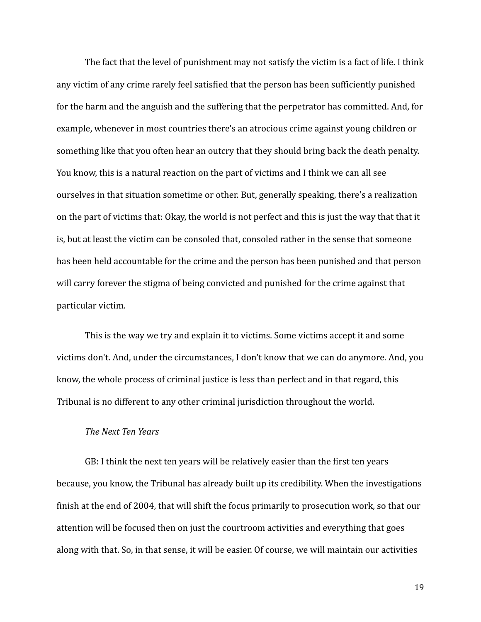The fact that the level of punishment may not satisfy the victim is a fact of life. I think any victim of any crime rarely feel satisfied that the person has been sufficiently punished for the harm and the anguish and the suffering that the perpetrator has committed. And, for example, whenever in most countries there's an atrocious crime against young children or something like that you often hear an outcry that they should bring back the death penalty. You know, this is a natural reaction on the part of victims and I think we can all see ourselves in that situation sometime or other. But, generally speaking, there's a realization on the part of victims that: Okay, the world is not perfect and this is just the way that that it is, but at least the victim can be consoled that, consoled rather in the sense that someone has been held accountable for the crime and the person has been punished and that person will carry forever the stigma of being convicted and punished for the crime against that particular victim.

This is the way we try and explain it to victims. Some victims accept it and some victims don't. And, under the circumstances, I don't know that we can do anymore. And, you know, the whole process of criminal justice is less than perfect and in that regard, this Tribunal is no different to any other criminal jurisdiction throughout the world.

#### *The Next Ten Years*

GB: I think the next ten years will be relatively easier than the first ten years because, you know, the Tribunal has already built up its credibility. When the investigations finish at the end of 2004, that will shift the focus primarily to prosecution work, so that our attention will be focused then on just the courtroom activities and everything that goes along with that. So, in that sense, it will be easier. Of course, we will maintain our activities